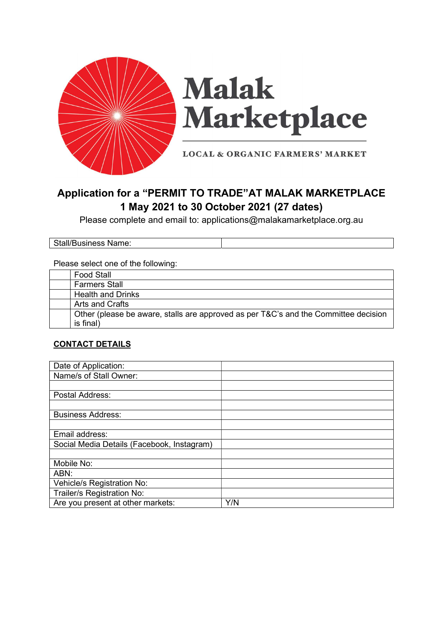

# **Malak** Marketplace

**LOCAL & ORGANIC FARMERS' MARKET** 

# Application for a "PERMIT TO TRADE"AT MALAK MARKETPLACE 1 May 2021 to 30 October 2021 (27 dates)

Please complete and email to: applications@malakamarketplace.org.au

Stall/Business Name:

#### Please select one of the following:

| <b>Food Stall</b>                                                                   |
|-------------------------------------------------------------------------------------|
| <b>Farmers Stall</b>                                                                |
| <b>Health and Drinks</b>                                                            |
| Arts and Crafts                                                                     |
| Other (please be aware, stalls are approved as per T&C's and the Committee decision |
| is final)                                                                           |

### CONTACT DETAILS

| Date of Application:                       |     |
|--------------------------------------------|-----|
| Name/s of Stall Owner:                     |     |
|                                            |     |
| Postal Address:                            |     |
|                                            |     |
| <b>Business Address:</b>                   |     |
|                                            |     |
| Email address:                             |     |
| Social Media Details (Facebook, Instagram) |     |
|                                            |     |
| Mobile No:                                 |     |
| ABN:                                       |     |
| Vehicle/s Registration No:                 |     |
| Trailer/s Registration No:                 |     |
| Are you present at other markets:          | Y/N |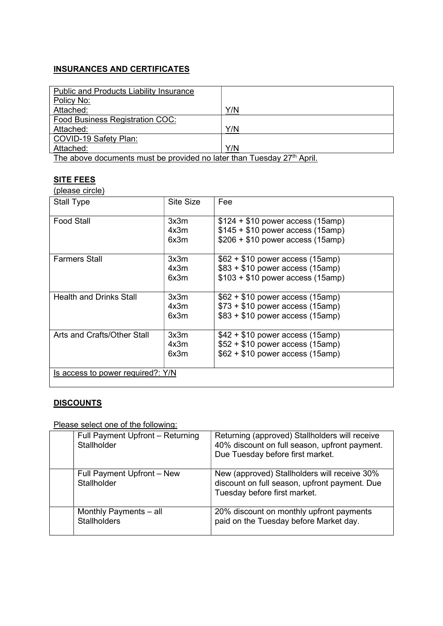# INSURANCES AND CERTIFICATES

| <b>Public and Products Liability Insurance</b>                        |     |
|-----------------------------------------------------------------------|-----|
| Policy No:                                                            |     |
| Attached:                                                             | Y/N |
| Food Business Registration COC:                                       |     |
| Attached:                                                             | Y/N |
| COVID-19 Safety Plan:                                                 |     |
| Attached:                                                             | Y/N |
| The chaus desuperty must be provided no leter than Tuesday 07th April |     |

The above documents must be provided no later than Tuesday 27<sup>th</sup> April.

### SITE FEES

(please circle)

| <b>Stall Type</b>                 | Site Size            | Fee                                                                                                         |
|-----------------------------------|----------------------|-------------------------------------------------------------------------------------------------------------|
| <b>Food Stall</b>                 | 3x3m<br>4x3m<br>6x3m | $$124 + $10$ power access (15amp)<br>$$145 + $10$ power access (15amp)<br>$$206 + $10$ power access (15amp) |
| <b>Farmers Stall</b>              | 3x3m<br>4x3m<br>6x3m | $$62 + $10$ power access (15amp)<br>$$83 + $10$ power access (15amp)<br>$$103 + $10$ power access (15amp)   |
| <b>Health and Drinks Stall</b>    | 3x3m<br>4x3m<br>6x3m | $$62 + $10$ power access (15amp)<br>$$73 + $10$ power access (15amp)<br>$$83 + $10$ power access (15amp)    |
| Arts and Crafts/Other Stall       | 3x3m<br>4x3m<br>6x3m | $$42 + $10$ power access (15amp)<br>$$52 + $10$ power access (15amp)<br>$$62 + $10$ power access (15amp)    |
| Is access to power required?: Y/N |                      |                                                                                                             |

# **DISCOUNTS**

# Please select one of the following:

| Full Payment Upfront - Returning<br>Stallholder | Returning (approved) Stallholders will receive<br>40% discount on full season, upfront payment.<br>Due Tuesday before first market. |
|-------------------------------------------------|-------------------------------------------------------------------------------------------------------------------------------------|
| Full Payment Upfront - New<br>Stallholder       | New (approved) Stallholders will receive 30%<br>discount on full season, upfront payment. Due<br>Tuesday before first market.       |
| Monthly Payments - all<br><b>Stallholders</b>   | 20% discount on monthly upfront payments<br>paid on the Tuesday before Market day.                                                  |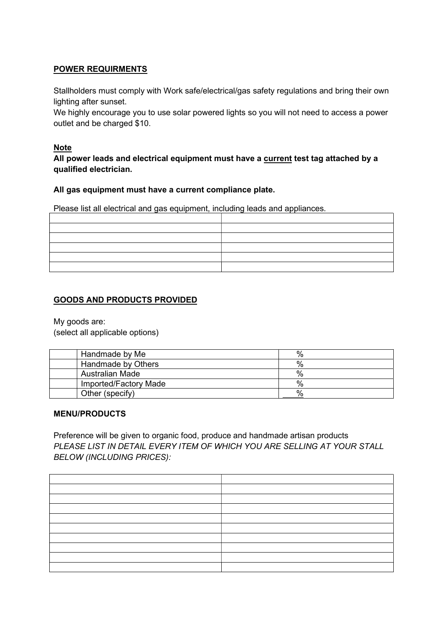## POWER REQUIRMENTS

Stallholders must comply with Work safe/electrical/gas safety regulations and bring their own lighting after sunset.

We highly encourage you to use solar powered lights so you will not need to access a power outlet and be charged \$10.

#### Note

All power leads and electrical equipment must have a current test tag attached by a qualified electrician.

#### All gas equipment must have a current compliance plate.

Please list all electrical and gas equipment, including leads and appliances.

## GOODS AND PRODUCTS PROVIDED

My goods are:

(select all applicable options)

| Handmade by Me        | %    |
|-----------------------|------|
| Handmade by Others    | $\%$ |
| Australian Made       | $\%$ |
| Imported/Factory Made | $\%$ |
| Other (specify)       | %    |

#### MENU/PRODUCTS

Preference will be given to organic food, produce and handmade artisan products PLEASE LIST IN DETAIL EVERY ITEM OF WHICH YOU ARE SELLING AT YOUR STALL BELOW (INCLUDING PRICES):